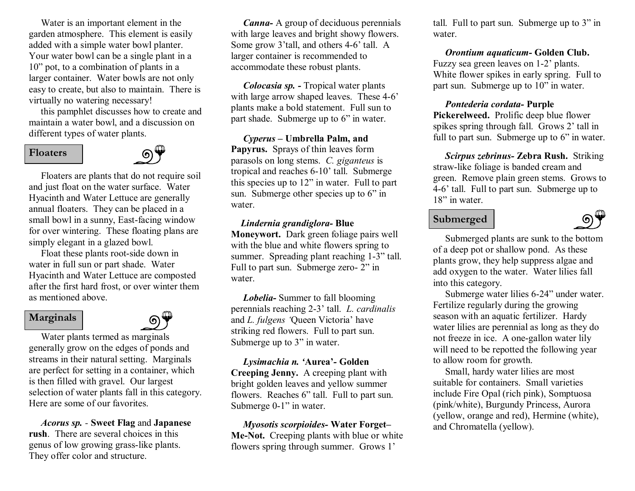Water is an important element in the garden atmosphere. This element is easily added with a simple water bowl planter. Your water bowl can be a single plant in a 10" pot, to a combination of plants in a larger container. Water bowls are not only easy to create, but also to maintain. There is virtually no watering necessary!

this pamphlet discusses how to create and maintain a water bowl, and a discussion on different types of water plants.

### **Floaters**



Floaters are plants that do not require soil and just float on the water surface. Water Hyacinth and Water Lettuce are generally annual floaters. They can be placed in a small bowl in a sunny, East-facing window for over wintering. These floating plans are simply elegant in a glazed bowl.

Float these plants root-side down in water in full sun or part shade. Water Hyacinth and Water Lettuce are composted after the first hard frost, or over winter them as mentioned above.

#### **Marginals**



Water plants termed as marginals generally grow on the edges of ponds and streams in their natural setting. Marginals are perfect for setting in a container, which is then filled with gravel. Our largest selection of water plants fall in this category. Here are some of our favorites.

*Acorus sp.* **Sweet Flag** and **Japanese rush**. There are several choices in this genus of low growing grass-like plants. They offer color and structure.

*Canna* A group of deciduous perennials with large leaves and bright showy flowers. Some grow  $3'$ tall, and others  $4-6'$  tall. A larger container is recommended to accommodate these robust plants.

*Colocasia sp.* - Tropical water plants with large arrow shaped leaves. These 4-6' plants make a bold statement. Full sun to part shade. Submerge up to 6" in water.

*Cyperus –* **Umbrella Palm, and Papyrus.** Sprays of thin leaves form parasols on long stems. *C. giganteus* is tropical and reaches 6-10' tall. Submerge this species up to 12" in water. Full to part sun. Submerge other species up to 6" in water.

#### *Lindernia grandiglora* **Blue**

**Moneywort.** Dark green foliage pairs well with the blue and white flowers spring to summer. Spreading plant reaching 1-3" tall. Full to part sun. Submerge zero- 2" in water.

*Lobelia* Summer to fall blooming perennials reaching 23' tall. *L. cardinalis* and *L. fulgens '*Queen Victoria' have striking red flowers. Full to part sun. Submerge up to 3" in water.

*Lysimachia n. '***Aurea' Golden Creeping Jenny.** A creeping plant with bright golden leaves and yellow summer flowers. Reaches 6" tall. Full to part sun. Submerge 0-1" in water.

*Myosotis scorpioides* Water Forget– Me-Not. Creeping plants with blue or white flowers spring through summer. Grows 1'

tall. Full to part sun. Submerge up to 3" in water.

*Orontium aquaticum - Golden Club.* Fuzzy sea green leaves on 1-2' plants. White flower spikes in early spring. Full to part sun. Submerge up to 10" in water.

#### *Pontederia cordata* **Purple**

**Pickerelweed.** Prolific deep blue flower spikes spring through fall. Grows 2' tall in full to part sun. Submerge up to 6" in water.

**Scirpus zebrinus- Zebra Rush.** Striking straw-like foliage is banded cream and green. Remove plain green stems. Grows to 46' tall. Full to part sun. Submerge up to 18" in water.

### **Submerged**



Submerged plants are sunk to the bottom of a deep pot or shallow pond. As these plants grow, they help suppress algae and add oxygen to the water. Water lilies fall into this category.

Submerge water lilies 6-24" under water. Fertilize regularly during the growing season with an aquatic fertilizer. Hardy water lilies are perennial as long as they do not freeze in ice. A one-gallon water lily will need to be repotted the following year to allow room for growth.

Small, hardy water lilies are most suitable for containers. Small varieties include Fire Opal (rich pink), Somptuosa (pink/white), Burgundy Princess, Aurora (yellow, orange and red), Hermine (white), and Chromatella (yellow).